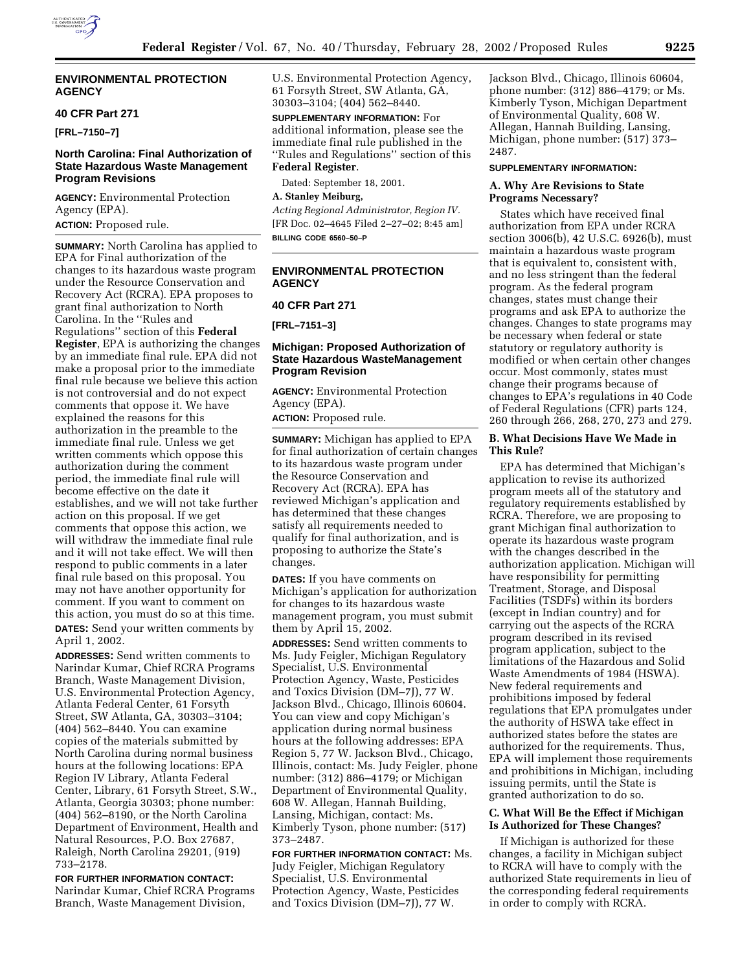

## **ENVIRONMENTAL PROTECTION AGENCY**

### **40 CFR Part 271**

**[FRL–7150–7]**

# **North Carolina: Final Authorization of State Hazardous Waste Management Program Revisions**

**AGENCY:** Environmental Protection Agency (EPA).

**ACTION:** Proposed rule.

**SUMMARY:** North Carolina has applied to EPA for Final authorization of the changes to its hazardous waste program under the Resource Conservation and Recovery Act (RCRA). EPA proposes to grant final authorization to North Carolina. In the ''Rules and Regulations'' section of this **Federal Register**, EPA is authorizing the changes by an immediate final rule. EPA did not make a proposal prior to the immediate final rule because we believe this action is not controversial and do not expect comments that oppose it. We have explained the reasons for this authorization in the preamble to the immediate final rule. Unless we get written comments which oppose this authorization during the comment period, the immediate final rule will become effective on the date it establishes, and we will not take further action on this proposal. If we get comments that oppose this action, we will withdraw the immediate final rule and it will not take effect. We will then respond to public comments in a later final rule based on this proposal. You may not have another opportunity for comment. If you want to comment on this action, you must do so at this time. **DATES:** Send your written comments by April 1, 2002.

**ADDRESSES:** Send written comments to Narindar Kumar, Chief RCRA Programs Branch, Waste Management Division, U.S. Environmental Protection Agency, Atlanta Federal Center, 61 Forsyth Street, SW Atlanta, GA, 30303–3104; (404) 562–8440. You can examine copies of the materials submitted by North Carolina during normal business hours at the following locations: EPA Region IV Library, Atlanta Federal Center, Library, 61 Forsyth Street, S.W., Atlanta, Georgia 30303; phone number: (404) 562–8190, or the North Carolina Department of Environment, Health and Natural Resources, P.O. Box 27687, Raleigh, North Carolina 29201, (919) 733–2178.

**FOR FURTHER INFORMATION CONTACT:** Narindar Kumar, Chief RCRA Programs Branch, Waste Management Division,

U.S. Environmental Protection Agency, 61 Forsyth Street, SW Atlanta, GA, 30303–3104; (404) 562–8440.

**SUPPLEMENTARY INFORMATION:** For additional information, please see the immediate final rule published in the ''Rules and Regulations'' section of this **Federal Register**.

Dated: September 18, 2001. **A. Stanley Meiburg,** *Acting Regional Administrator, Region IV.* [FR Doc. 02–4645 Filed 2–27–02; 8:45 am]

**BILLING CODE 6560–50–P**

## **ENVIRONMENTAL PROTECTION AGENCY**

**40 CFR Part 271**

**[FRL–7151–3]**

## **Michigan: Proposed Authorization of State Hazardous WasteManagement Program Revision**

**AGENCY:** Environmental Protection Agency (EPA).

**ACTION:** Proposed rule.

**SUMMARY:** Michigan has applied to EPA for final authorization of certain changes to its hazardous waste program under the Resource Conservation and Recovery Act (RCRA). EPA has reviewed Michigan's application and has determined that these changes satisfy all requirements needed to qualify for final authorization, and is proposing to authorize the State's changes.

**DATES:** If you have comments on Michigan's application for authorization for changes to its hazardous waste management program, you must submit them by April 15, 2002.

**ADDRESSES:** Send written comments to Ms. Judy Feigler, Michigan Regulatory Specialist, U.S. Environmental Protection Agency, Waste, Pesticides and Toxics Division (DM–7J), 77 W. Jackson Blvd., Chicago, Illinois 60604. You can view and copy Michigan's application during normal business hours at the following addresses: EPA Region 5, 77 W. Jackson Blvd., Chicago, Illinois, contact: Ms. Judy Feigler, phone number: (312) 886–4179; or Michigan Department of Environmental Quality, 608 W. Allegan, Hannah Building, Lansing, Michigan, contact: Ms. Kimberly Tyson, phone number: (517) 373–2487.

**FOR FURTHER INFORMATION CONTACT:** Ms. Judy Feigler, Michigan Regulatory Specialist, U.S. Environmental Protection Agency, Waste, Pesticides and Toxics Division (DM–7J), 77 W.

Jackson Blvd., Chicago, Illinois 60604, phone number: (312) 886–4179; or Ms. Kimberly Tyson, Michigan Department of Environmental Quality, 608 W. Allegan, Hannah Building, Lansing, Michigan, phone number: (517) 373– 2487.

### **SUPPLEMENTARY INFORMATION:**

#### **A. Why Are Revisions to State Programs Necessary?**

States which have received final authorization from EPA under RCRA section 3006(b), 42 U.S.C. 6926(b), must maintain a hazardous waste program that is equivalent to, consistent with, and no less stringent than the federal program. As the federal program changes, states must change their programs and ask EPA to authorize the changes. Changes to state programs may be necessary when federal or state statutory or regulatory authority is modified or when certain other changes occur. Most commonly, states must change their programs because of changes to EPA's regulations in 40 Code of Federal Regulations (CFR) parts 124, 260 through 266, 268, 270, 273 and 279.

## **B. What Decisions Have We Made in This Rule?**

EPA has determined that Michigan's application to revise its authorized program meets all of the statutory and regulatory requirements established by RCRA. Therefore, we are proposing to grant Michigan final authorization to operate its hazardous waste program with the changes described in the authorization application. Michigan will have responsibility for permitting Treatment, Storage, and Disposal Facilities (TSDFs) within its borders (except in Indian country) and for carrying out the aspects of the RCRA program described in its revised program application, subject to the limitations of the Hazardous and Solid Waste Amendments of 1984 (HSWA). New federal requirements and prohibitions imposed by federal regulations that EPA promulgates under the authority of HSWA take effect in authorized states before the states are authorized for the requirements. Thus, EPA will implement those requirements and prohibitions in Michigan, including issuing permits, until the State is granted authorization to do so.

### **C. What Will Be the Effect if Michigan Is Authorized for These Changes?**

If Michigan is authorized for these changes, a facility in Michigan subject to RCRA will have to comply with the authorized State requirements in lieu of the corresponding federal requirements in order to comply with RCRA.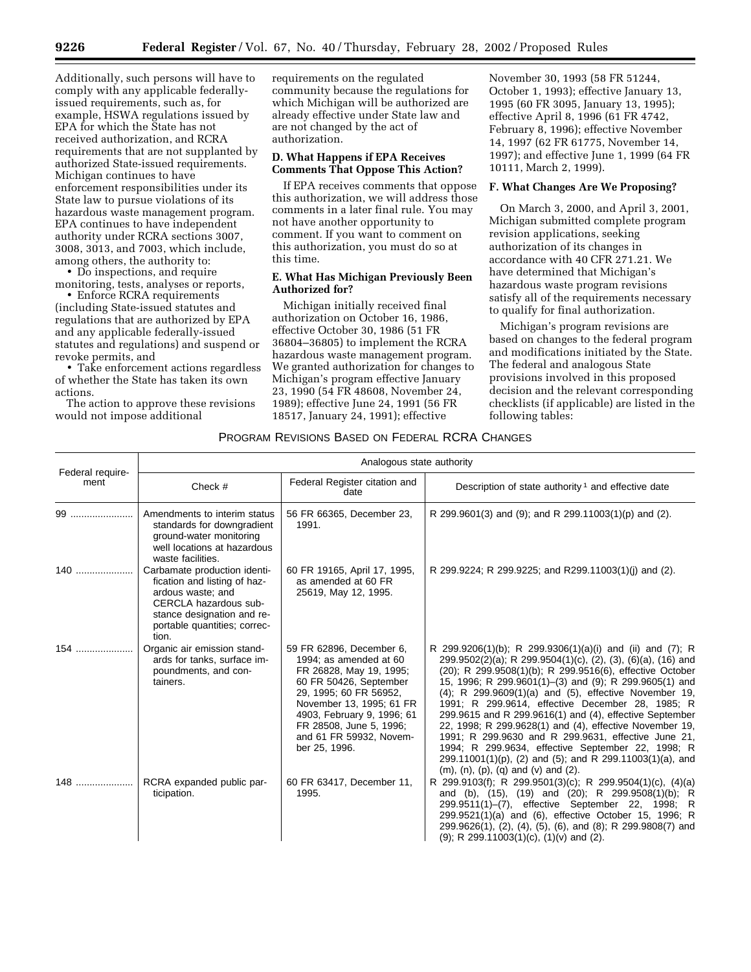Additionally, such persons will have to comply with any applicable federallyissued requirements, such as, for example, HSWA regulations issued by EPA for which the State has not received authorization, and RCRA requirements that are not supplanted by authorized State-issued requirements. Michigan continues to have enforcement responsibilities under its State law to pursue violations of its hazardous waste management program. EPA continues to have independent authority under RCRA sections 3007, 3008, 3013, and 7003, which include, among others, the authority to:

• Do inspections, and require monitoring, tests, analyses or reports,

• Enforce RCRA requirements (including State-issued statutes and regulations that are authorized by EPA and any applicable federally-issued statutes and regulations) and suspend or revoke permits, and

• Take enforcement actions regardless of whether the State has taken its own actions.

The action to approve these revisions would not impose additional

requirements on the regulated community because the regulations for which Michigan will be authorized are already effective under State law and are not changed by the act of authorization.

### **D. What Happens if EPA Receives Comments That Oppose This Action?**

If EPA receives comments that oppose this authorization, we will address those comments in a later final rule. You may not have another opportunity to comment. If you want to comment on this authorization, you must do so at this time.

## **E. What Has Michigan Previously Been Authorized for?**

Michigan initially received final authorization on October 16, 1986, effective October 30, 1986 (51 FR 36804–36805) to implement the RCRA hazardous waste management program. We granted authorization for changes to Michigan's program effective January 23, 1990 (54 FR 48608, November 24, 1989); effective June 24, 1991 (56 FR 18517, January 24, 1991); effective

November 30, 1993 (58 FR 51244, October 1, 1993); effective January 13, 1995 (60 FR 3095, January 13, 1995); effective April 8, 1996 (61 FR 4742, February 8, 1996); effective November 14, 1997 (62 FR 61775, November 14, 1997); and effective June 1, 1999 (64 FR 10111, March 2, 1999).

### **F. What Changes Are We Proposing?**

On March 3, 2000, and April 3, 2001, Michigan submitted complete program revision applications, seeking authorization of its changes in accordance with 40 CFR 271.21. We have determined that Michigan's hazardous waste program revisions satisfy all of the requirements necessary to qualify for final authorization.

Michigan's program revisions are based on changes to the federal program and modifications initiated by the State. The federal and analogous State provisions involved in this proposed decision and the relevant corresponding checklists (if applicable) are listed in the following tables:

## PROGRAM REVISIONS BASED ON FEDERAL RCRA CHANGES

|                          | Analogous state authority                                                                                                                                                         |                                                                                                                                                                                                                                                                    |                                                                                                                                                                                                                                                                                                                                                                                                                                                                                                                                                                                                                                                                                                                   |
|--------------------------|-----------------------------------------------------------------------------------------------------------------------------------------------------------------------------------|--------------------------------------------------------------------------------------------------------------------------------------------------------------------------------------------------------------------------------------------------------------------|-------------------------------------------------------------------------------------------------------------------------------------------------------------------------------------------------------------------------------------------------------------------------------------------------------------------------------------------------------------------------------------------------------------------------------------------------------------------------------------------------------------------------------------------------------------------------------------------------------------------------------------------------------------------------------------------------------------------|
| Federal require-<br>ment | Check #                                                                                                                                                                           | Federal Register citation and<br>date                                                                                                                                                                                                                              | Description of state authority <sup>1</sup> and effective date                                                                                                                                                                                                                                                                                                                                                                                                                                                                                                                                                                                                                                                    |
|                          | Amendments to interim status<br>standards for downgradient<br>ground-water monitoring<br>well locations at hazardous<br>waste facilities.                                         | 56 FR 66365, December 23,<br>1991.                                                                                                                                                                                                                                 | R 299.9601(3) and (9); and R 299.11003(1)(p) and (2).                                                                                                                                                                                                                                                                                                                                                                                                                                                                                                                                                                                                                                                             |
| 140                      | Carbamate production identi-<br>fication and listing of haz-<br>ardous waste; and<br>CERCLA hazardous sub-<br>stance designation and re-<br>portable quantities; correc-<br>tion. | 60 FR 19165, April 17, 1995,<br>as amended at 60 FR<br>25619, May 12, 1995.                                                                                                                                                                                        | R 299.9224; R 299.9225; and R299.11003(1)(j) and (2).                                                                                                                                                                                                                                                                                                                                                                                                                                                                                                                                                                                                                                                             |
| $154$                    | Organic air emission stand-<br>ards for tanks, surface im-<br>poundments, and con-<br>tainers.                                                                                    | 59 FR 62896, December 6,<br>1994; as amended at 60<br>FR 26828, May 19, 1995;<br>60 FR 50426, September<br>29, 1995; 60 FR 56952,<br>November 13, 1995; 61 FR<br>4903, February 9, 1996; 61<br>FR 28508, June 5, 1996;<br>and 61 FR 59932, Novem-<br>ber 25, 1996. | R 299.9206(1)(b); R 299.9306(1)(a)(i) and (ii) and (7); R<br>299.9502(2)(a); R 299.9504(1)(c), (2), (3), (6)(a), (16) and<br>(20); R 299.9508(1)(b); R 299.9516(6), effective October<br>15, 1996; R 299.9601(1)-(3) and (9); R 299.9605(1) and<br>(4); R 299.9609(1)(a) and (5), effective November 19,<br>1991; R 299.9614, effective December 28, 1985; R<br>299.9615 and R 299.9616(1) and (4), effective September<br>22, 1998; R 299.9628(1) and (4), effective November 19,<br>1991; R 299.9630 and R 299.9631, effective June 21,<br>1994; R 299.9634, effective September 22, 1998; R<br>299.11001(1)(p), (2) and (5); and R 299.11003(1)(a), and<br>$(m)$ , $(n)$ , $(p)$ , $(q)$ and $(v)$ and $(2)$ . |
| 148                      | RCRA expanded public par-<br>ticipation.                                                                                                                                          | 60 FR 63417, December 11,<br>1995.                                                                                                                                                                                                                                 | R 299.9103(f); R 299.9501(3)(c); R 299.9504(1)(c), (4)(a)<br>and (b), (15), (19) and (20); R 299.9508(1)(b); R<br>299.9511(1)-(7), effective September 22, 1998; R<br>299.9521(1)(a) and (6), effective October 15, 1996; R<br>299.9626(1), (2), (4), (5), (6), and (8); R 299.9808(7) and<br>$(9)$ ; R 299.11003 $(1)(c)$ , $(1)(v)$ and $(2)$ .                                                                                                                                                                                                                                                                                                                                                                 |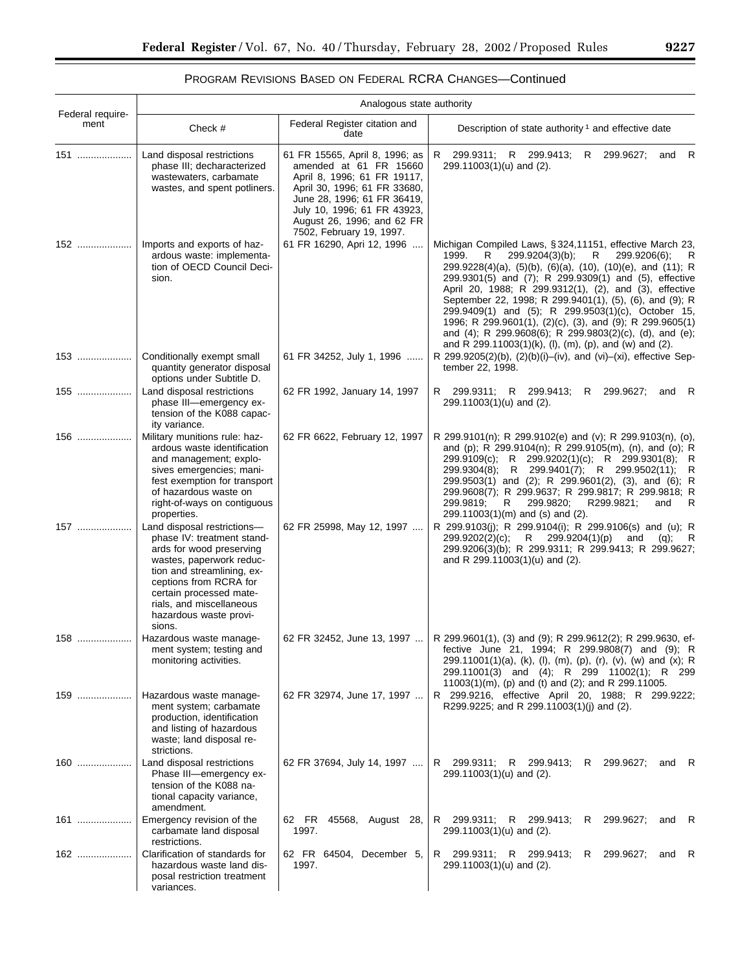# PROGRAM REVISIONS BASED ON FEDERAL RCRA CHANGES—Continued

|                          | Analogous state authority                                                                                                                                                                                                                                            |                                                                                                                                                                                                                                                 |                                                                                                                                                                                                                                                                                                                                                                                                                                                                                                                                                                                                                         |
|--------------------------|----------------------------------------------------------------------------------------------------------------------------------------------------------------------------------------------------------------------------------------------------------------------|-------------------------------------------------------------------------------------------------------------------------------------------------------------------------------------------------------------------------------------------------|-------------------------------------------------------------------------------------------------------------------------------------------------------------------------------------------------------------------------------------------------------------------------------------------------------------------------------------------------------------------------------------------------------------------------------------------------------------------------------------------------------------------------------------------------------------------------------------------------------------------------|
| Federal require-<br>ment | Check #                                                                                                                                                                                                                                                              | Federal Register citation and<br>date                                                                                                                                                                                                           | Description of state authority <sup>1</sup> and effective date                                                                                                                                                                                                                                                                                                                                                                                                                                                                                                                                                          |
| 151                      | Land disposal restrictions<br>phase III; decharacterized<br>wastewaters, carbamate<br>wastes, and spent potliners.                                                                                                                                                   | 61 FR 15565, April 8, 1996; as<br>amended at 61 FR 15660<br>April 8, 1996; 61 FR 19117,<br>April 30, 1996; 61 FR 33680,<br>June 28, 1996; 61 FR 36419,<br>July 10, 1996; 61 FR 43923,<br>August 26, 1996; and 62 FR<br>7502, February 19, 1997. | R 299.9311; R 299.9413;<br>299.9627;<br>- R<br>R.<br>and<br>299.11003(1)(u) and (2).                                                                                                                                                                                                                                                                                                                                                                                                                                                                                                                                    |
| 152                      | Imports and exports of haz-<br>ardous waste: implementa-<br>tion of OECD Council Deci-<br>sion.                                                                                                                                                                      | 61 FR 16290, Apri 12, 1996                                                                                                                                                                                                                      | Michigan Compiled Laws, §324,11151, effective March 23,<br>299.9204(3)(b);<br>R<br>299.9206(6);<br>1999.<br>R<br>R<br>$299.9228(4)(a)$ , $(5)(b)$ , $(6)(a)$ , $(10)$ , $(10)(e)$ , and $(11)$ ; R<br>299.9301(5) and (7); R 299.9309(1) and (5), effective<br>April 20, 1988; R 299.9312(1), (2), and (3), effective<br>September 22, 1998; R 299.9401(1), (5), (6), and (9); R<br>299.9409(1) and (5); R 299.9503(1)(c), October 15,<br>1996; R 299.9601(1), (2)(c), (3), and (9); R 299.9605(1)<br>and (4); R 299.9608(6); R 299.9803(2)(c), (d), and (e);<br>and R 299.11003(1)(k), (l), (m), (p), and (w) and (2). |
| 153                      | Conditionally exempt small<br>quantity generator disposal<br>options under Subtitle D.                                                                                                                                                                               | 61 FR 34252, July 1, 1996                                                                                                                                                                                                                       | R 299.9205(2)(b), (2)(b)(i)–(iv), and (vi)–(xi), effective Sep-<br>tember 22, 1998.                                                                                                                                                                                                                                                                                                                                                                                                                                                                                                                                     |
| 155                      | Land disposal restrictions<br>phase III-emergency ex-<br>tension of the K088 capac-<br>ity variance.                                                                                                                                                                 | 62 FR 1992, January 14, 1997                                                                                                                                                                                                                    | R 299.9311; R 299.9413;<br>R 299.9627;<br>- R<br>and<br>$299.11003(1)(u)$ and (2).                                                                                                                                                                                                                                                                                                                                                                                                                                                                                                                                      |
| 156                      | Military munitions rule: haz-<br>ardous waste identification<br>and management; explo-<br>sives emergencies; mani-<br>fest exemption for transport<br>of hazardous waste on<br>right-of-ways on contiguous<br>properties.                                            | 62 FR 6622, February 12, 1997                                                                                                                                                                                                                   | R 299.9101(n); R 299.9102(e) and (v); R 299.9103(n), (o),<br>and (p); R 299.9104(n); R 299.9105(m), (n), and (o); R<br>299.9109(c); R 299.9202(1)(c); R 299.9301(8); R<br>299.9304(8); R 299.9401(7); R 299.9502(11); R<br>299.9503(1) and (2); R 299.9601(2), (3), and (6); R<br>299.9608(7); R 299.9637; R 299.9817; R 299.9818; R<br>299.9819;<br>299.9820;<br>R299.9821;<br>R.<br>and<br>R<br>$299.11003(1)(m)$ and (s) and (2).                                                                                                                                                                                    |
| 157                      | Land disposal restrictions-<br>phase IV: treatment stand-<br>ards for wood preserving<br>wastes, paperwork reduc-<br>tion and streamlining, ex-<br>ceptions from RCRA for<br>certain processed mate-<br>rials, and miscellaneous<br>hazardous waste provi-<br>sions. | 62 FR 25998, May 12, 1997                                                                                                                                                                                                                       | R 299.9103(j); R 299.9104(i); R 299.9106(s) and (u); R<br>299.9202(2)(c);<br>R —<br>299.9204(1)(p)<br>and<br>- R<br>$(q)$ ;<br>299.9206(3)(b); R 299.9311; R 299.9413; R 299.9627;<br>and R 299.11003(1)(u) and (2).                                                                                                                                                                                                                                                                                                                                                                                                    |
| 158                      | Hazardous waste manage-<br>ment system; testing and<br>monitoring activities.                                                                                                                                                                                        |                                                                                                                                                                                                                                                 | 62 FR 32452, June 13, 1997    R 299.9601(1), (3) and (9); R 299.9612(2); R 299.9630, ef-<br>fective June 21, 1994; R 299.9808(7) and (9); R<br>299.11001(1)(a), (k), (l), (m), (p), (r), (v), (w) and (x); R<br>299.11001(3) and (4); R 299 11002(1); R 299<br>11003(1)(m), (p) and (t) and (2); and R 299.11005.                                                                                                                                                                                                                                                                                                       |
| 159                      | Hazardous waste manage-<br>ment system; carbamate<br>production, identification<br>and listing of hazardous<br>waste; land disposal re-<br>strictions.                                                                                                               | 62 FR 32974, June 17, 1997                                                                                                                                                                                                                      | R 299.9216, effective April 20, 1988; R 299.9222;<br>R299.9225; and R 299.11003(1)(j) and (2).                                                                                                                                                                                                                                                                                                                                                                                                                                                                                                                          |
| 160                      | Land disposal restrictions<br>Phase III-emergency ex-<br>tension of the K088 na-<br>tional capacity variance,<br>amendment.                                                                                                                                          | 62 FR 37694, July 14, 1997                                                                                                                                                                                                                      | 299.9311; R 299.9413;<br>299.9627;<br>R<br>R<br>and R<br>$299.11003(1)(u)$ and (2).                                                                                                                                                                                                                                                                                                                                                                                                                                                                                                                                     |
| 161                      | Emergency revision of the<br>carbamate land disposal<br>restrictions.                                                                                                                                                                                                | 62 FR 45568, August 28,<br>1997.                                                                                                                                                                                                                | R 299.9311; R 299.9413;<br>299.9627;<br>R<br>and<br>R<br>299.11003(1)(u) and (2).                                                                                                                                                                                                                                                                                                                                                                                                                                                                                                                                       |
| 162                      | Clarification of standards for<br>hazardous waste land dis-<br>posal restriction treatment<br>variances.                                                                                                                                                             | 62 FR 64504, December 5,<br>1997.                                                                                                                                                                                                               | 299.9311; R 299.9413;<br>299.9627;<br>R<br>R<br>- R<br>and<br>299.11003(1)(u) and (2).                                                                                                                                                                                                                                                                                                                                                                                                                                                                                                                                  |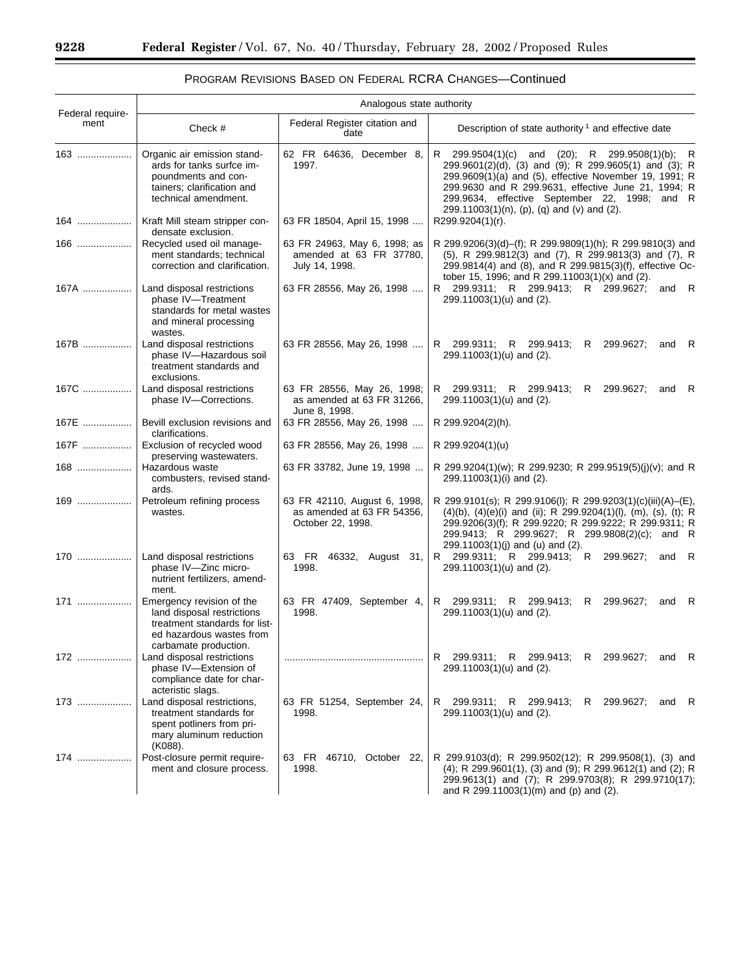▀

| <b>PROGRAM REVISIONS BASED ON FEDERAL RCRA CHANGES-Continued</b> |  |
|------------------------------------------------------------------|--|
|------------------------------------------------------------------|--|

| Federal require- | Analogous state authority                                                                                                                     |                                                                                 |                                                                                                                                                                                                                                                                                                                                     |
|------------------|-----------------------------------------------------------------------------------------------------------------------------------------------|---------------------------------------------------------------------------------|-------------------------------------------------------------------------------------------------------------------------------------------------------------------------------------------------------------------------------------------------------------------------------------------------------------------------------------|
| ment             | Check #                                                                                                                                       | Federal Register citation and<br>date                                           | Description of state authority <sup>1</sup> and effective date                                                                                                                                                                                                                                                                      |
| 163              | Organic air emission stand-<br>ards for tanks surfce im-<br>poundments and con-<br>tainers; clarification and<br>technical amendment.         | 62 FR 64636, December 8,<br>1997.                                               | R<br>299.9504(1)(c)<br>and (20); R 299.9508(1)(b);<br>R<br>299.9601(2)(d), (3) and (9); R 299.9605(1) and (3); R<br>299.9609(1)(a) and (5), effective November 19, 1991; R<br>299.9630 and R 299.9631, effective June 21, 1994; R<br>299.9634, effective September 22, 1998; and R<br>$299.11003(1)(n)$ , (p), (q) and (v) and (2). |
| 164              | Kraft Mill steam stripper con-<br>densate exclusion.                                                                                          | 63 FR 18504, April 15, 1998                                                     | R299.9204(1)(r).                                                                                                                                                                                                                                                                                                                    |
| 166              | Recycled used oil manage-<br>ment standards; technical<br>correction and clarification.                                                       | 63 FR 24963, May 6, 1998; as<br>amended at 63 FR 37780,<br>July 14, 1998.       | R 299.9206(3)(d)–(f); R 299.9809(1)(h); R 299.9810(3) and<br>(5), R 299.9812(3) and (7), R 299.9813(3) and (7), R<br>299.9814(4) and (8), and R 299.9815(3)(f), effective Oc-<br>tober 15, 1996; and R 299.11003(1)(x) and (2).                                                                                                     |
| 167A             | Land disposal restrictions<br>phase IV-Treatment<br>standards for metal wastes<br>and mineral processing<br>wastes.                           | 63 FR 28556, May 26, 1998                                                       | R 299.9311; R 299.9413; R 299.9627;<br>and R<br>299.11003(1)(u) and (2).                                                                                                                                                                                                                                                            |
| 167B             | Land disposal restrictions<br>phase IV-Hazardous soil<br>treatment standards and<br>exclusions.                                               | 63 FR 28556, May 26, 1998                                                       | R 299.9311; R 299.9413;<br>R 299.9627;<br>and R<br>$299.11003(1)(u)$ and (2).                                                                                                                                                                                                                                                       |
| 167C             | Land disposal restrictions<br>phase IV-Corrections.                                                                                           | 63 FR 28556, May 26, 1998;<br>as amended at 63 FR 31266.<br>June 8, 1998.       | R 299.9311; R 299.9413;<br>R.<br>299.9627;<br>– R<br>and<br>299.11003(1)(u) and (2).                                                                                                                                                                                                                                                |
| 167E             | Bevill exclusion revisions and<br>clarifications.                                                                                             | 63 FR 28556, May 26, 1998                                                       | R 299.9204(2)(h).                                                                                                                                                                                                                                                                                                                   |
| 167F             | Exclusion of recycled wood<br>preserving wastewaters.                                                                                         | 63 FR 28556, May 26, 1998                                                       | R 299.9204(1)(u)                                                                                                                                                                                                                                                                                                                    |
| 168              | Hazardous waste<br>combusters, revised stand-<br>ards.                                                                                        | 63 FR 33782, June 19, 1998                                                      | R 299.9204(1)(w); R 299.9230; R 299.9519(5)(j)(v); and R<br>299.11003(1)(i) and (2).                                                                                                                                                                                                                                                |
| 169              | Petroleum refining process<br>wastes.                                                                                                         | 63 FR 42110, August 6, 1998,<br>as amended at 63 FR 54356,<br>October 22, 1998. | R 299.9101(s); R 299.9106(l); R 299.9203(1)(c)(iii)(A)–(E),<br>$(4)(b)$ , $(4)(e)(i)$ and (ii); R 299.9204(1)(l), (m), (s), (t); R<br>299.9206(3)(f); R 299.9220; R 299.9222; R 299.9311; R<br>299.9413; R 299.9627; R 299.9808(2)(c); and R<br>299.11003(1)(j) and (u) and (2).                                                    |
| 170              | Land disposal restrictions<br>phase IV-Zinc micro-<br>nutrient fertilizers, amend-<br>ment.                                                   | 63 FR<br>46332, August 31,<br>1998.                                             | R 299.9311; R 299.9413; R 299.9627;<br>and R<br>299.11003(1)(u) and (2).                                                                                                                                                                                                                                                            |
| 171              | Emergency revision of the<br>land disposal restrictions<br>treatment standards for list-<br>ed hazardous wastes from<br>carbamate production. | 63 FR 47409, September 4,<br>1998.                                              | 299.9311; R 299.9413;<br>299.9627;<br>R.<br>R.<br>and R<br>$299.11003(1)(u)$ and (2).                                                                                                                                                                                                                                               |
| 172              | Land disposal restrictions<br>phase IV-Extension of<br>compliance date for char-<br>acteristic slags.                                         |                                                                                 | 299.9311; R 299.9413;<br>R 299.9627;<br>and R<br>R<br>299.11003(1)(u) and (2).                                                                                                                                                                                                                                                      |
| 173              | Land disposal restrictions,<br>treatment standards for<br>spent potliners from pri-<br>mary aluminum reduction<br>(K088).                     | 63 FR 51254, September 24,<br>1998.                                             | 299.9311; R 299.9413;<br>R 299.9627;<br>R<br>and R<br>$299.11003(1)(u)$ and (2).                                                                                                                                                                                                                                                    |
| 174              | Post-closure permit require-<br>ment and closure process.                                                                                     | 63 FR 46710, October 22,<br>1998.                                               | R 299.9103(d); R 299.9502(12); R 299.9508(1), (3) and<br>(4); R 299.9601(1), (3) and (9); R 299.9612(1) and (2); R<br>299.9613(1) and (7); R 299.9703(8); R 299.9710(17);<br>and R $299.11003(1)(m)$ and (p) and (2).                                                                                                               |

 $\equiv$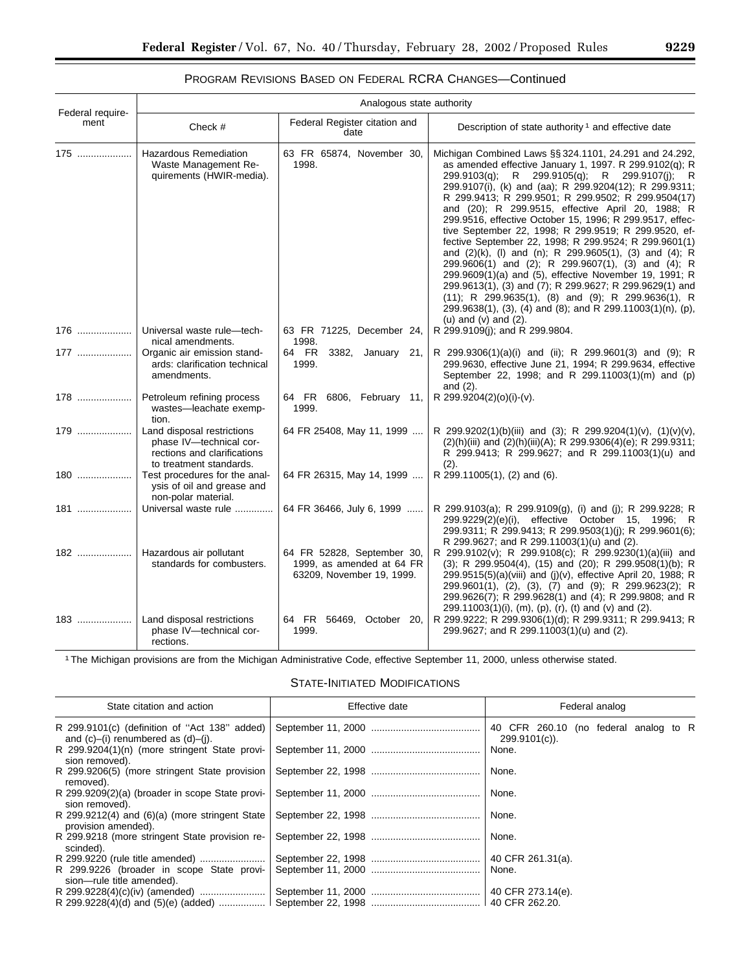|                          | Analogous state authority                                                                                       |                                                                                      |                                                                                                                                                                                                                                                                                                                                                                                                                                                                                                                                                                                                                                                                                                                                                                                                                                                                                                                               |
|--------------------------|-----------------------------------------------------------------------------------------------------------------|--------------------------------------------------------------------------------------|-------------------------------------------------------------------------------------------------------------------------------------------------------------------------------------------------------------------------------------------------------------------------------------------------------------------------------------------------------------------------------------------------------------------------------------------------------------------------------------------------------------------------------------------------------------------------------------------------------------------------------------------------------------------------------------------------------------------------------------------------------------------------------------------------------------------------------------------------------------------------------------------------------------------------------|
| Federal require-<br>ment | Check #                                                                                                         | Federal Register citation and<br>date                                                | Description of state authority <sup>1</sup> and effective date                                                                                                                                                                                                                                                                                                                                                                                                                                                                                                                                                                                                                                                                                                                                                                                                                                                                |
| 175                      | <b>Hazardous Remediation</b><br>Waste Management Re-<br>quirements (HWIR-media).                                | 63 FR 65874, November 30,<br>1998.                                                   | Michigan Combined Laws §§ 324.1101, 24.291 and 24.292,<br>as amended effective January 1, 1997. R 299.9102(q); R<br>299.9103(q); R 299.9105(q); R 299.9107(j);<br>– R<br>299.9107(i), (k) and (aa); R 299.9204(12); R 299.9311;<br>R 299.9413; R 299.9501; R 299.9502; R 299.9504(17)<br>and (20); R 299.9515, effective April 20, 1988; R<br>299.9516, effective October 15, 1996; R 299.9517, effec-<br>tive September 22, 1998; R 299.9519; R 299.9520, ef-<br>fective September 22, 1998; R 299.9524; R 299.9601(1)<br>and (2)(k), (l) and (n); R 299.9605(1), (3) and (4); R<br>299.9606(1) and (2); R 299.9607(1), (3) and (4); R<br>299.9609(1)(a) and (5), effective November 19, 1991; R<br>299.9613(1), (3) and (7); R 299.9627; R 299.9629(1) and<br>$(11)$ ; R 299.9635 $(1)$ , $(8)$ and $(9)$ ; R 299.9636 $(1)$ , R<br>299.9638(1), (3), (4) and (8); and R 299.11003(1)(n), (p),<br>(u) and $(v)$ and $(2)$ . |
| 176                      | Universal waste rule-tech-<br>nical amendments.                                                                 | 63 FR 71225, December 24,<br>1998.                                                   | R 299.9109(j); and R 299.9804.                                                                                                                                                                                                                                                                                                                                                                                                                                                                                                                                                                                                                                                                                                                                                                                                                                                                                                |
| 177                      | Organic air emission stand-<br>ards: clarification technical<br>amendments.                                     | 64 FR<br>3382, January 21,<br>1999.                                                  | R 299.9306(1)(a)(i) and (ii); R 299.9601(3) and (9); R<br>299.9630, effective June 21, 1994; R 299.9634, effective<br>September 22, 1998; and R 299.11003(1)(m) and (p)<br>and $(2)$ .                                                                                                                                                                                                                                                                                                                                                                                                                                                                                                                                                                                                                                                                                                                                        |
| 178                      | Petroleum refining process<br>wastes-leachate exemp-<br>tion.                                                   | 64 FR 6806, February 11,<br>1999.                                                    | R 299.9204(2)(0)(i)-(v).                                                                                                                                                                                                                                                                                                                                                                                                                                                                                                                                                                                                                                                                                                                                                                                                                                                                                                      |
| 179                      | Land disposal restrictions<br>phase IV-technical cor-<br>rections and clarifications<br>to treatment standards. | 64 FR 25408, May 11, 1999                                                            | R 299.9202(1)(b)(iii) and (3); R 299.9204(1)(v), (1)(v)(v),<br>(2)(h)(iii) and (2)(h)(iii)(A); R 299.9306(4)(e); R 299.9311;<br>R 299.9413; R 299.9627; and R 299.11003(1)(u) and<br>(2).                                                                                                                                                                                                                                                                                                                                                                                                                                                                                                                                                                                                                                                                                                                                     |
| 180                      | Test procedures for the anal-<br>ysis of oil and grease and<br>non-polar material.                              | 64 FR 26315, May 14, 1999                                                            | R 299.11005(1), (2) and (6).                                                                                                                                                                                                                                                                                                                                                                                                                                                                                                                                                                                                                                                                                                                                                                                                                                                                                                  |
| 181                      | Universal waste rule                                                                                            | 64 FR 36466, July 6, 1999                                                            | R 299.9103(a); R 299.9109(g), (i) and (i); R 299.9228; R<br>299.9229(2)(e)(i), effective October 15, 1996; R<br>299.9311; R 299.9413; R 299.9503(1)(j); R 299.9601(6);<br>R 299.9627; and R 299.11003(1)(u) and (2).                                                                                                                                                                                                                                                                                                                                                                                                                                                                                                                                                                                                                                                                                                          |
| 182                      | Hazardous air pollutant<br>standards for combusters.                                                            | 64 FR 52828, September 30,<br>1999, as amended at 64 FR<br>63209, November 19, 1999. | R 299.9102(v); R 299.9108(c); R 299.9230(1)(a)(iii) and<br>(3); R 299.9504(4), (15) and (20); R 299.9508(1)(b); R<br>299.9515(5)(a)(viii) and (j)(v), effective April 20, 1988; R<br>299.9601(1), (2), (3), (7) and (9); R 299.9623(2); R<br>299.9626(7); R 299.9628(1) and (4); R 299.9808; and R<br>299.11003(1)(i), (m), (p), (r), (t) and (v) and (2).                                                                                                                                                                                                                                                                                                                                                                                                                                                                                                                                                                    |
| 183                      | Land disposal restrictions<br>phase IV-technical cor-<br>rections.                                              | 64 FR 56469, October 20,<br>1999.                                                    | R 299.9222; R 299.9306(1)(d); R 299.9311; R 299.9413; R<br>299.9627; and R 299.11003(1)(u) and (2).                                                                                                                                                                                                                                                                                                                                                                                                                                                                                                                                                                                                                                                                                                                                                                                                                           |

# PROGRAM REVISIONS BASED ON FEDERAL RCRA CHANGES—Continued

1The Michigan provisions are from the Michigan Administrative Code, effective September 11, 2000, unless otherwise stated.

STATE-INITIATED MODIFICATIONS

| State citation and action                                                                        | Effective date | Federal analog                                         |
|--------------------------------------------------------------------------------------------------|----------------|--------------------------------------------------------|
| R 299.9101(c) (definition of "Act 138" added)<br>and $(c)$ – $(i)$ renumbered as $(d)$ – $(i)$ . |                | 40 CFR 260.10 (no federal analog to R<br>299.9101(c)). |
| R 299.9204(1)(n) (more stringent State provi-<br>sion removed).                                  |                | None.                                                  |
| R 299.9206(5) (more stringent State provision<br>removed).                                       |                | None.                                                  |
| R 299.9209(2)(a) (broader in scope State provi-<br>sion removed).                                |                | None.                                                  |
| R 299.9212(4) and $(6)(a)$ (more stringent State<br>provision amended).                          |                | None.                                                  |
| R 299.9218 (more stringent State provision re-<br>scinded).                                      |                | None.                                                  |
|                                                                                                  |                | 40 CFR 261.31(a).                                      |
| R 299.9226 (broader in scope State provi-<br>sion-rule title amended).                           |                | None.                                                  |
|                                                                                                  |                | 40 CFR 273.14(e).                                      |
| R 299.9228(4)(d) and $(5)(e)$ (added)                                                            |                |                                                        |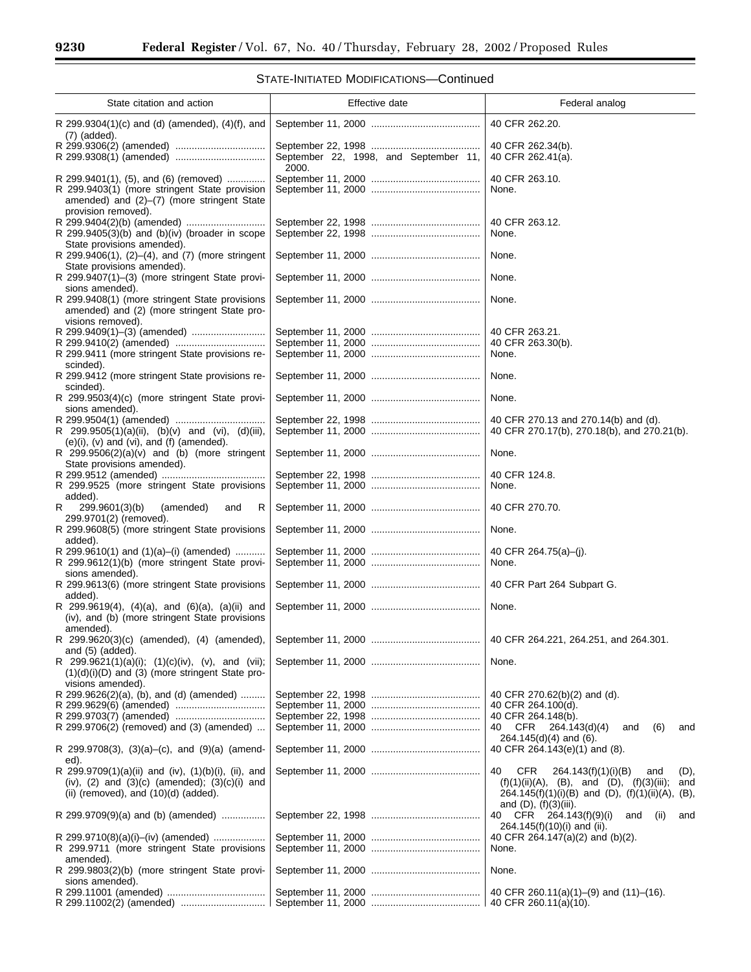| State citation and action                                                                                                                          | Effective date                        | Federal analog                                                                                                                                                                               |
|----------------------------------------------------------------------------------------------------------------------------------------------------|---------------------------------------|----------------------------------------------------------------------------------------------------------------------------------------------------------------------------------------------|
| R 299.9304(1)(c) and (d) (amended), (4)(f), and                                                                                                    |                                       | 40 CFR 262.20.                                                                                                                                                                               |
| $(7)$ (added).                                                                                                                                     | September 22, 1998, and September 11, | 40 CFR 262.34(b).<br>40 CFR 262.41(a).                                                                                                                                                       |
| R 299.9401(1), (5), and (6) (removed)<br>R 299.9403(1) (more stringent State provision                                                             | 2000.                                 | 40 CFR 263.10.<br>None.                                                                                                                                                                      |
| amended) and (2)-(7) (more stringent State<br>provision removed).<br>R 299.9405(3)(b) and (b)(iv) (broader in scope                                |                                       | 40 CFR 263.12.<br>None.                                                                                                                                                                      |
| State provisions amended).<br>R $299.9406(1)$ , $(2)$ – $(4)$ , and $(7)$ (more stringent                                                          |                                       | None.                                                                                                                                                                                        |
| State provisions amended).<br>R 299.9407(1)-(3) (more stringent State provi-<br>sions amended).                                                    |                                       | None.                                                                                                                                                                                        |
| R 299.9408(1) (more stringent State provisions<br>amended) and (2) (more stringent State pro-<br>visions removed).                                 |                                       | None.                                                                                                                                                                                        |
|                                                                                                                                                    |                                       | 40 CFR 263.21.<br>40 CFR 263.30(b).                                                                                                                                                          |
| R 299.9411 (more stringent State provisions re-<br>scinded).<br>R 299.9412 (more stringent State provisions re-                                    |                                       | None.<br>None.                                                                                                                                                                               |
| scinded).<br>R 299.9503(4)(c) (more stringent State provi-<br>sions amended).                                                                      |                                       | None.                                                                                                                                                                                        |
| R 299.9505(1)(a)(ii), (b)(v) and (vi), (d)(iii),                                                                                                   |                                       | 40 CFR 270.13 and 270.14(b) and (d).<br>40 CFR 270.17(b), 270.18(b), and 270.21(b).                                                                                                          |
| (e)(i), (v) and (vi), and (f) (amended).<br>R $299.9506(2)(a)(v)$ and (b) (more stringent<br>State provisions amended).                            |                                       | None.                                                                                                                                                                                        |
| R 299.9525 (more stringent State provisions<br>added).                                                                                             |                                       | 40 CFR 124.8.<br>None.                                                                                                                                                                       |
| R<br>299.9601(3)(b)<br>(amended)<br>R<br>and                                                                                                       |                                       | 40 CFR 270.70.                                                                                                                                                                               |
| 299.9701(2) (removed).<br>R 299.9608(5) (more stringent State provisions<br>added).                                                                |                                       | None.                                                                                                                                                                                        |
| R 299.9610(1) and $(1)(a)$ –(i) (amended)<br>R 299.9612(1)(b) (more stringent State provi-<br>sions amended).                                      |                                       | 40 CFR 264.75(a)-(j).<br>None.                                                                                                                                                               |
| R 299.9613(6) (more stringent State provisions<br>added).                                                                                          |                                       | 40 CFR Part 264 Subpart G.                                                                                                                                                                   |
| R 299.9619(4), $(4)(a)$ , and $(6)(a)$ , $(a)(ii)$ and<br>(iv), and (b) (more stringent State provisions<br>amended).                              |                                       | None.                                                                                                                                                                                        |
| and (5) (added).                                                                                                                                   |                                       | 40 CFR 264.221, 264.251, and 264.301.                                                                                                                                                        |
| R 299.9621(1)(a)(i); $(1)(c)(iv)$ , $(v)$ , and $(vii)$ ;<br>$(1)(d)(i)(D)$ and $(3)$ (more stringent State pro-<br>visions amended).              |                                       | None.                                                                                                                                                                                        |
| R 299.9626(2)(a), (b), and (d) (amended)                                                                                                           |                                       | 40 CFR 270.62(b)(2) and (d).<br>40 CFR 264.100(d).                                                                                                                                           |
| R 299.9706(2) (removed) and (3) (amended)                                                                                                          |                                       | 40 CFR 264.148(b).<br>40 CFR<br>264.143(d)(4)<br>(6)<br>and<br>and                                                                                                                           |
| R 299.9708(3), $(3)(a)$ –(c), and $(9)(a)$ (amend-<br>ed).                                                                                         |                                       | $264.145(d)(4)$ and (6).<br>40 CFR 264.143(e)(1) and (8).                                                                                                                                    |
| R 299.9709(1)(a)(ii) and (iv), (1)(b)(i), (ii), and<br>(iv), $(2)$ and $(3)(c)$ (amended); $(3)(c)(i)$ and<br>(ii) (removed), and (10)(d) (added). |                                       | 40<br>CFR.<br>264.143(f)(1)(i)(B)<br>and<br>(D),<br>$(f)(1)(ii)(A), (B), and (D), (f)(3)(iii);$<br>and<br>264.145(f)(1)(i)(B) and (D), $(f)(1)(ii)(A)$ , (B),<br>and $(D)$ , $(f)(3)(iii)$ . |
| R 299.9709(9)(a) and (b) (amended)                                                                                                                 |                                       | 40<br>CFR 264.143(f)(9)(i)<br>and<br>(ii)<br>and<br>264.145(f)(10)(i) and (ii).                                                                                                              |
| R 299.9710(8)(a)(i)-(iv) (amended)<br>R 299.9711 (more stringent State provisions<br>amended).                                                     |                                       | 40 CFR 264.147(a)(2) and (b)(2).<br>None.                                                                                                                                                    |
| R 299.9803(2)(b) (more stringent State provi-<br>sions amended).                                                                                   |                                       | None.                                                                                                                                                                                        |
|                                                                                                                                                    |                                       | 40 CFR 260.11(a)(1)–(9) and (11)–(16).<br>40 CFR 260.11(a)(10).                                                                                                                              |

# STATE-INITIATED MODIFICATIONS—Continued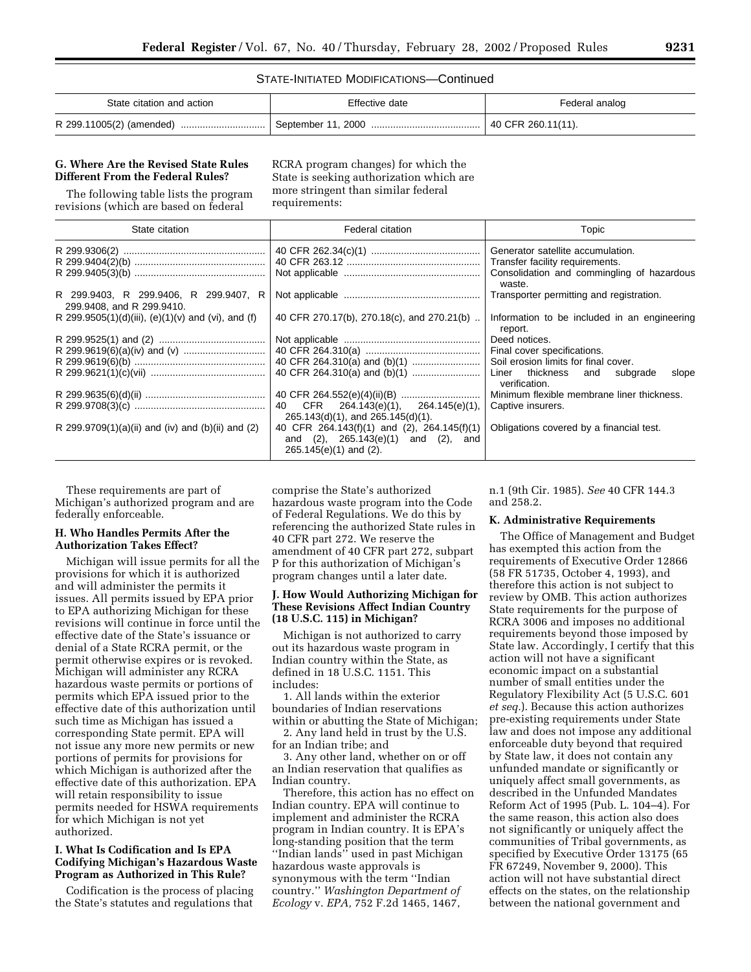#### STATE-INITIATED MODIFICATIONS—Continued

| State citation and action | Effective date     | Federal analog     |
|---------------------------|--------------------|--------------------|
| R 299.11005(2) (amended)  | September 11. 2000 | 40 CFR 260.11(11). |

### **G. Where Are the Revised State Rules Different From the Federal Rules?**

The following table lists the program revisions (which are based on federal

RCRA program changes) for which the State is seeking authorization which are more stringent than similar federal requirements:

| State citation                                                     | Federal citation                                                                                                           | Topic                                                     |
|--------------------------------------------------------------------|----------------------------------------------------------------------------------------------------------------------------|-----------------------------------------------------------|
|                                                                    |                                                                                                                            | Generator satellite accumulation.                         |
|                                                                    |                                                                                                                            | Transfer facility requirements.                           |
|                                                                    |                                                                                                                            | Consolidation and commingling of hazardous<br>waste.      |
| R 299.9403, R 299.9406, R 299.9407, R<br>299.9408, and R 299.9410. |                                                                                                                            | Transporter permitting and registration.                  |
| R 299.9505(1)(d)(iii), (e)(1)(v) and (vi), and (f)                 | 40 CFR 270.17(b), 270.18(c), and 270.21(b)                                                                                 | Information to be included in an engineering<br>report.   |
|                                                                    |                                                                                                                            | Deed notices.                                             |
|                                                                    |                                                                                                                            | Final cover specifications.                               |
|                                                                    |                                                                                                                            | Soil erosion limits for final cover.                      |
|                                                                    |                                                                                                                            | Liner thickness and<br>subgrade<br>slope<br>verification. |
|                                                                    |                                                                                                                            | Minimum flexible membrane liner thickness.                |
|                                                                    | CFR 264.143(e)(1), 264.145(e)(1),<br>40<br>$265.143(d)(1)$ , and $265.145(d)(1)$ .                                         | Captive insurers.                                         |
| R 299.9709(1)(a)(ii) and (iv) and (b)(ii) and (2)                  | 40 CFR 264.143(f)(1) and (2), 264.145(f)(1)<br>$(2)$ , 265.143 $(e)(1)$ and $(2)$ , and<br>and<br>$265.145(e)(1)$ and (2). | Obligations covered by a financial test.                  |

These requirements are part of Michigan's authorized program and are federally enforceable.

## **H. Who Handles Permits After the Authorization Takes Effect?**

Michigan will issue permits for all the provisions for which it is authorized and will administer the permits it issues. All permits issued by EPA prior to EPA authorizing Michigan for these revisions will continue in force until the effective date of the State's issuance or denial of a State RCRA permit, or the permit otherwise expires or is revoked. Michigan will administer any RCRA hazardous waste permits or portions of permits which EPA issued prior to the effective date of this authorization until such time as Michigan has issued a corresponding State permit. EPA will not issue any more new permits or new portions of permits for provisions for which Michigan is authorized after the effective date of this authorization. EPA will retain responsibility to issue permits needed for HSWA requirements for which Michigan is not yet authorized.

## **I. What Is Codification and Is EPA Codifying Michigan's Hazardous Waste Program as Authorized in This Rule?**

Codification is the process of placing the State's statutes and regulations that comprise the State's authorized hazardous waste program into the Code of Federal Regulations. We do this by referencing the authorized State rules in 40 CFR part 272. We reserve the amendment of 40 CFR part 272, subpart P for this authorization of Michigan's program changes until a later date.

### **J. How Would Authorizing Michigan for These Revisions Affect Indian Country (18 U.S.C. 115) in Michigan?**

Michigan is not authorized to carry out its hazardous waste program in Indian country within the State, as defined in 18 U.S.C. 1151. This includes:

1. All lands within the exterior boundaries of Indian reservations within or abutting the State of Michigan;

2. Any land held in trust by the U.S. for an Indian tribe; and

3. Any other land, whether on or off an Indian reservation that qualifies as Indian country.

Therefore, this action has no effect on Indian country. EPA will continue to implement and administer the RCRA program in Indian country. It is EPA's long-standing position that the term ''Indian lands'' used in past Michigan hazardous waste approvals is synonymous with the term ''Indian country.'' *Washington Department of Ecology* v. *EPA,* 752 F.2d 1465, 1467,

n.1 (9th Cir. 1985). *See* 40 CFR 144.3 and 258.2.

### **K. Administrative Requirements**

The Office of Management and Budget has exempted this action from the requirements of Executive Order 12866 (58 FR 51735, October 4, 1993), and therefore this action is not subject to review by OMB. This action authorizes State requirements for the purpose of RCRA 3006 and imposes no additional requirements beyond those imposed by State law. Accordingly, I certify that this action will not have a significant economic impact on a substantial number of small entities under the Regulatory Flexibility Act (5 U.S.C. 601 *et seq.*). Because this action authorizes pre-existing requirements under State law and does not impose any additional enforceable duty beyond that required by State law, it does not contain any unfunded mandate or significantly or uniquely affect small governments, as described in the Unfunded Mandates Reform Act of 1995 (Pub. L. 104–4). For the same reason, this action also does not significantly or uniquely affect the communities of Tribal governments, as specified by Executive Order 13175 (65 FR 67249, November 9, 2000). This action will not have substantial direct effects on the states, on the relationship between the national government and